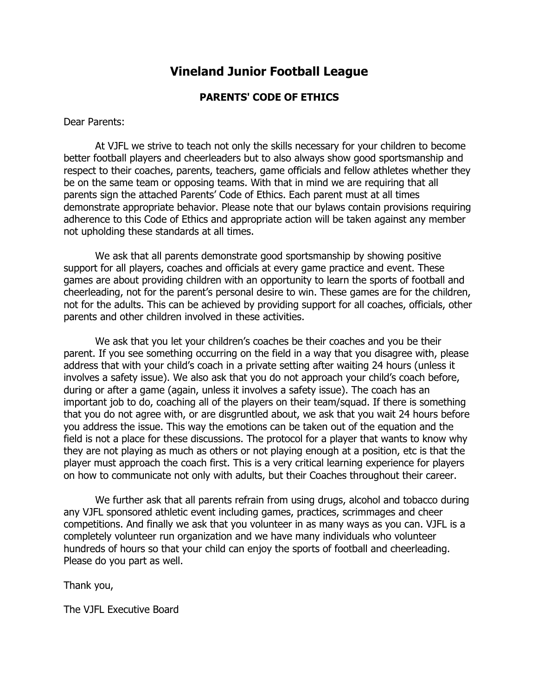## **Vineland Junior Football League**

## **PARENTS' CODE OF ETHICS**

Dear Parents:

At VJFL we strive to teach not only the skills necessary for your children to become better football players and cheerleaders but to also always show good sportsmanship and respect to their coaches, parents, teachers, game officials and fellow athletes whether they be on the same team or opposing teams. With that in mind we are requiring that all parents sign the attached Parents' Code of Ethics. Each parent must at all times demonstrate appropriate behavior. Please note that our bylaws contain provisions requiring adherence to this Code of Ethics and appropriate action will be taken against any member not upholding these standards at all times.

We ask that all parents demonstrate good sportsmanship by showing positive support for all players, coaches and officials at every game practice and event. These games are about providing children with an opportunity to learn the sports of football and cheerleading, not for the parent's personal desire to win. These games are for the children, not for the adults. This can be achieved by providing support for all coaches, officials, other parents and other children involved in these activities.

We ask that you let your children's coaches be their coaches and you be their parent. If you see something occurring on the field in a way that you disagree with, please address that with your child's coach in a private setting after waiting 24 hours (unless it involves a safety issue). We also ask that you do not approach your child's coach before, during or after a game (again, unless it involves a safety issue). The coach has an important job to do, coaching all of the players on their team/squad. If there is something that you do not agree with, or are disgruntled about, we ask that you wait 24 hours before you address the issue. This way the emotions can be taken out of the equation and the field is not a place for these discussions. The protocol for a player that wants to know why they are not playing as much as others or not playing enough at a position, etc is that the player must approach the coach first. This is a very critical learning experience for players on how to communicate not only with adults, but their Coaches throughout their career.

We further ask that all parents refrain from using drugs, alcohol and tobacco during any VJFL sponsored athletic event including games, practices, scrimmages and cheer competitions. And finally we ask that you volunteer in as many ways as you can. VJFL is a completely volunteer run organization and we have many individuals who volunteer hundreds of hours so that your child can enjoy the sports of football and cheerleading. Please do you part as well.

Thank you,

The VJFL Executive Board